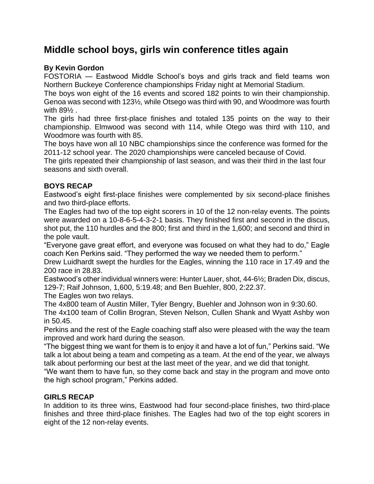# **Middle school boys, girls win conference titles again**

## **By Kevin Gordon**

FOSTORIA — Eastwood Middle School's boys and girls track and field teams won Northern Buckeye Conference championships Friday night at Memorial Stadium.

The boys won eight of the 16 events and scored 182 points to win their championship. Genoa was second with 123½, while Otsego was third with 90, and Woodmore was fourth with 89½ .

The girls had three first-place finishes and totaled 135 points on the way to their championship. Elmwood was second with 114, while Otego was third with 110, and Woodmore was fourth with 85.

The boys have won all 10 NBC championships since the conference was formed for the 2011-12 school year. The 2020 championships were canceled because of Covid.

The girls repeated their championship of last season, and was their third in the last four seasons and sixth overall.

### **BOYS RECAP**

Eastwood's eight first-place finishes were complemented by six second-place finishes and two third-place efforts.

The Eagles had two of the top eight scorers in 10 of the 12 non-relay events. The points were awarded on a 10-8-6-5-4-3-2-1 basis. They finished first and second in the discus, shot put, the 110 hurdles and the 800; first and third in the 1,600; and second and third in the pole vault.

"Everyone gave great effort, and everyone was focused on what they had to do," Eagle coach Ken Perkins said. "They performed the way we needed them to perform."

Drew Luidhardt swept the hurdles for the Eagles, winning the 110 race in 17.49 and the 200 race in 28.83.

Eastwood's other individual winners were: Hunter Lauer, shot, 44-6½; Braden Dix, discus, 129-7; Raif Johnson, 1,600, 5:19.48; and Ben Buehler, 800, 2:22.37.

The Eagles won two relays.

The 4x800 team of Austin Miller, Tyler Bengry, Buehler and Johnson won in 9:30.60.

The 4x100 team of Collin Brogran, Steven Nelson, Cullen Shank and Wyatt Ashby won in 50.45.

Perkins and the rest of the Eagle coaching staff also were pleased with the way the team improved and work hard during the season.

"The biggest thing we want for them is to enjoy it and have a lot of fun," Perkins said. "We talk a lot about being a team and competing as a team. At the end of the year, we always talk about performing our best at the last meet of the year, and we did that tonight.

"We want them to have fun, so they come back and stay in the program and move onto the high school program," Perkins added.

#### **GIRLS RECAP**

In addition to its three wins, Eastwood had four second-place finishes, two third-place finishes and three third-place finishes. The Eagles had two of the top eight scorers in eight of the 12 non-relay events.